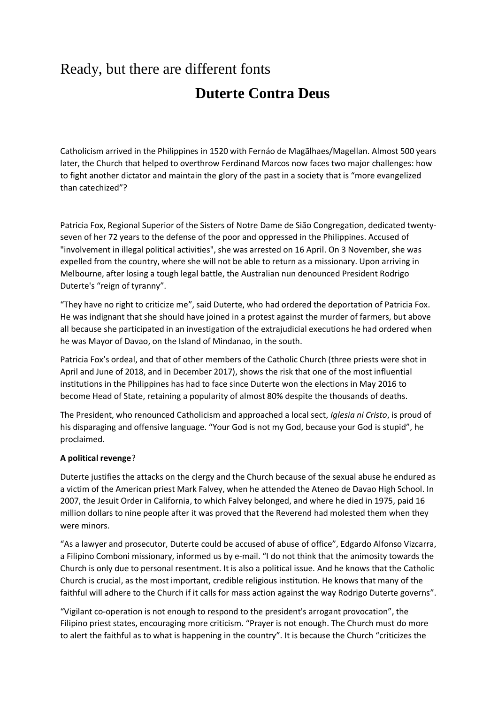# Ready, but there are different fonts **Duterte Contra Deus**

Catholicism arrived in the Philippines in 1520 with Fernáo de Magãlhaes/Magellan. Almost 500 years later, the Church that helped to overthrow Ferdinand Marcos now faces two major challenges: how to fight another dictator and maintain the glory of the past in a society that is "more evangelized than catechized"?

Patricia Fox, Regional Superior of the Sisters of Notre Dame de Sião Congregation, dedicated twentyseven of her 72 years to the defense of the poor and oppressed in the Philippines. Accused of "involvement in illegal political activities", she was arrested on 16 April. On 3 November, she was expelled from the country, where she will not be able to return as a missionary. Upon arriving in Melbourne, after losing a tough legal battle, the Australian nun denounced President Rodrigo Duterte's "reign of tyranny".

"They have no right to criticize me", said Duterte, who had ordered the deportation of Patricia Fox. He was indignant that she should have joined in a protest against the murder of farmers, but above all because she participated in an investigation of the extrajudicial executions he had ordered when he was Mayor of Davao, on the Island of Mindanao, in the south.

Patricia Fox's ordeal, and that of other members of the Catholic Church (three priests were shot in April and June of 2018, and in December 2017), shows the risk that one of the most influential institutions in the Philippines has had to face since Duterte won the elections in May 2016 to become Head of State, retaining a popularity of almost 80% despite the thousands of deaths.

The President, who renounced Catholicism and approached a local sect, *Iglesia ni Cristo*, is proud of his disparaging and offensive language. "Your God is not my God, because your God is stupid", he proclaimed.

### **A political revenge**?

Duterte justifies the attacks on the clergy and the Church because of the sexual abuse he endured as a victim of the American priest Mark Falvey, when he attended the Ateneo de Davao High School. In 2007, the Jesuit Order in California, to which Falvey belonged, and where he died in 1975, paid 16 million dollars to nine people after it was proved that the Reverend had molested them when they were minors.

"As a lawyer and prosecutor, Duterte could be accused of abuse of office", Edgardo Alfonso Vizcarra, a Filipino Comboni missionary, informed us by e-mail. "I do not think that the animosity towards the Church is only due to personal resentment. It is also a political issue. And he knows that the Catholic Church is crucial, as the most important, credible religious institution. He knows that many of the faithful will adhere to the Church if it calls for mass action against the way Rodrigo Duterte governs".

"Vigilant co-operation is not enough to respond to the president's arrogant provocation", the Filipino priest states, encouraging more criticism. "Prayer is not enough. The Church must do more to alert the faithful as to what is happening in the country". It is because the Church "criticizes the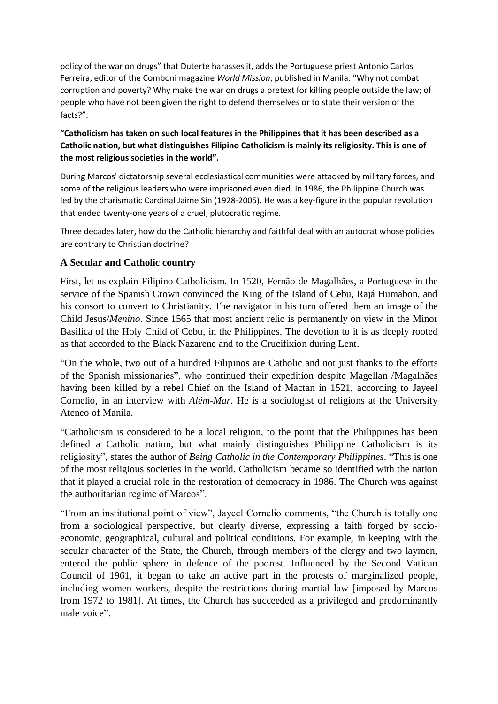policy of the war on drugs" that Duterte harasses it, adds the Portuguese priest Antonio Carlos Ferreira, editor of the Comboni magazine *World Mission*, published in Manila. "Why not combat corruption and poverty? Why make the war on drugs a pretext for killing people outside the law; of people who have not been given the right to defend themselves or to state their version of the facts?".

## **"Catholicism has taken on such local features in the Philippines that it has been described as a Catholic nation, but what distinguishes Filipino Catholicism is mainly its religiosity. This is one of the most religious societies in the world".**

During Marcos' dictatorship several ecclesiastical communities were attacked by military forces, and some of the religious leaders who were imprisoned even died. In 1986, the Philippine Church was led by the charismatic Cardinal Jaime Sin (1928-2005). He was a key-figure in the popular revolution that ended twenty-one years of a cruel, plutocratic regime.

Three decades later, how do the Catholic hierarchy and faithful deal with an autocrat whose policies are contrary to Christian doctrine?

## **A Secular and Catholic country**

First, let us explain Filipino Catholicism. In 1520, Fernão de Magalhães, a Portuguese in the service of the Spanish Crown convinced the King of the Island of Cebu, Rajá Humabon, and his consort to convert to Christianity. The navigator in his turn offered them an image of the Child Jesus/*Menino*. Since 1565 that most ancient relic is permanently on view in the Minor Basilica of the Holy Child of Cebu, in the Philippines. The devotion to it is as deeply rooted as that accorded to the Black Nazarene and to the Crucifixion during Lent.

"On the whole, two out of a hundred Filipinos are Catholic and not just thanks to the efforts of the Spanish missionaries", who continued their expedition despite Magellan /Magalhães having been killed by a rebel Chief on the Island of Mactan in 1521, according to Jayeel Cornelio, in an interview with *Além-Mar*. He is a sociologist of religions at the University Ateneo of Manila.

"Catholicism is considered to be a local religion, to the point that the Philippines has been defined a Catholic nation, but what mainly distinguishes Philippine Catholicism is its religiosity", states the author of *Being Catholic in the Contemporary Philippines*. "This is one of the most religious societies in the world. Catholicism became so identified with the nation that it played a crucial role in the restoration of democracy in 1986. The Church was against the authoritarian regime of Marcos".

"From an institutional point of view", Jayeel Cornelio comments, "the Church is totally one from a sociological perspective, but clearly diverse, expressing a faith forged by socioeconomic, geographical, cultural and political conditions. For example, in keeping with the secular character of the State, the Church, through members of the clergy and two laymen, entered the public sphere in defence of the poorest. Influenced by the Second Vatican Council of 1961, it began to take an active part in the protests of marginalized people, including women workers, despite the restrictions during martial law [imposed by Marcos from 1972 to 1981]. At times, the Church has succeeded as a privileged and predominantly male voice".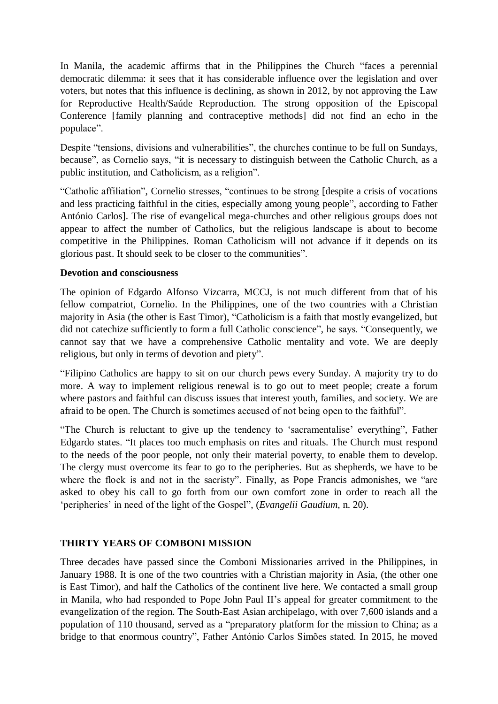In Manila, the academic affirms that in the Philippines the Church "faces a perennial democratic dilemma: it sees that it has considerable influence over the legislation and over voters, but notes that this influence is declining, as shown in 2012, by not approving the Law for Reproductive Health/Saúde Reproduction. The strong opposition of the Episcopal Conference [family planning and contraceptive methods] did not find an echo in the populace".

Despite "tensions, divisions and vulnerabilities", the churches continue to be full on Sundays, because", as Cornelio says, "it is necessary to distinguish between the Catholic Church, as a public institution, and Catholicism, as a religion".

"Catholic affiliation", Cornelio stresses, "continues to be strong [despite a crisis of vocations and less practicing faithful in the cities, especially among young people", according to Father António Carlos]. The rise of evangelical mega-churches and other religious groups does not appear to affect the number of Catholics, but the religious landscape is about to become competitive in the Philippines. Roman Catholicism will not advance if it depends on its glorious past. It should seek to be closer to the communities".

## **Devotion and consciousness**

The opinion of Edgardo Alfonso Vizcarra, MCCJ, is not much different from that of his fellow compatriot, Cornelio. In the Philippines, one of the two countries with a Christian majority in Asia (the other is East Timor), "Catholicism is a faith that mostly evangelized, but did not catechize sufficiently to form a full Catholic conscience", he says. "Consequently, we cannot say that we have a comprehensive Catholic mentality and vote. We are deeply religious, but only in terms of devotion and piety".

"Filipino Catholics are happy to sit on our church pews every Sunday. A majority try to do more. A way to implement religious renewal is to go out to meet people; create a forum where pastors and faithful can discuss issues that interest youth, families, and society. We are afraid to be open. The Church is sometimes accused of not being open to the faithful".

"The Church is reluctant to give up the tendency to 'sacramentalise' everything", Father Edgardo states. "It places too much emphasis on rites and rituals. The Church must respond to the needs of the poor people, not only their material poverty, to enable them to develop. The clergy must overcome its fear to go to the peripheries. But as shepherds, we have to be where the flock is and not in the sacristy". Finally, as Pope Francis admonishes, we "are asked to obey his call to go forth from our own comfort zone in order to reach all the 'peripheries' in need of the light of the Gospel", (*Evangelii Gaudium*, n. 20).

## **THIRTY YEARS OF COMBONI MISSION**

Three decades have passed since the Comboni Missionaries arrived in the Philippines, in January 1988. It is one of the two countries with a Christian majority in Asia, (the other one is East Timor), and half the Catholics of the continent live here. We contacted a small group in Manila, who had responded to Pope John Paul II's appeal for greater commitment to the evangelization of the region. The South-East Asian archipelago, with over 7,600 islands and a population of 110 thousand, served as a "preparatory platform for the mission to China; as a bridge to that enormous country", Father António Carlos Simões stated. In 2015, he moved